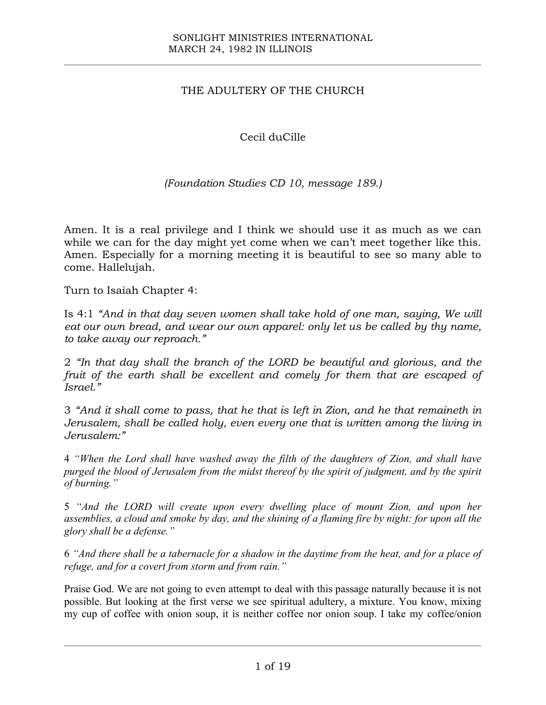## THE ADULTERY OF THE CHURCH

Cecil duCille

*(Foundation Studies CD 10, message 189.)*

Amen. It is a real privilege and I think we should use it as much as we can while we can for the day might yet come when we can't meet together like this. Amen. Especially for a morning meeting it is beautiful to see so many able to come. Hallelujah.

Turn to Isaiah Chapter 4:

Is 4:1 *"And in that day seven women shall take hold of one man, saying, We will eat our own bread, and wear our own apparel: only let us be called by thy name, to take away our reproach."*

2 *"In that day shall the branch of the LORD be beautiful and glorious, and the fruit of the earth shall be excellent and comely for them that are escaped of Israel."*

3 *"And it shall come to pass, that he that is left in Zion, and he that remaineth in Jerusalem, shall be called holy, even every one that is written among the living in Jerusalem:"*

4 *"When the Lord shall have washed away the filth of the daughters of Zion, and shall have purged the blood of Jerusalem from the midst thereof by the spirit of judgment, and by the spirit of burning."*

5 *"And the LORD will create upon every dwelling place of mount Zion, and upon her assemblies, a cloud and smoke by day, and the shining of a flaming fire by night: for upon all the glory shall be a defense."*

6 *"And there shall be a tabernacle for a shadow in the daytime from the heat, and for a place of refuge, and for a covert from storm and from rain."*

Praise God. We are not going to even attempt to deal with this passage naturally because it is not possible. But looking at the first verse we see spiritual adultery, a mixture. You know, mixing my cup of coffee with onion soup, it is neither coffee nor onion soup. I take my coffee/onion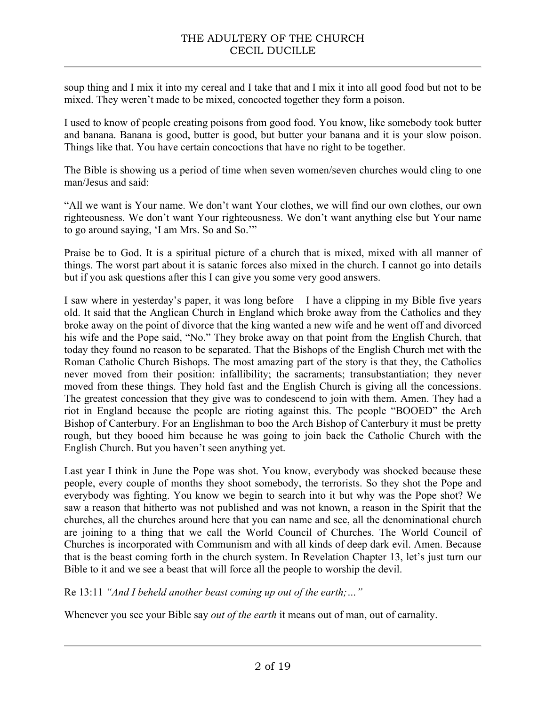soup thing and I mix it into my cereal and I take that and I mix it into all good food but not to be mixed. They weren't made to be mixed, concocted together they form a poison.

I used to know of people creating poisons from good food. You know, like somebody took butter and banana. Banana is good, butter is good, but butter your banana and it is your slow poison. Things like that. You have certain concoctions that have no right to be together.

The Bible is showing us a period of time when seven women/seven churches would cling to one man/Jesus and said:

"All we want is Your name. We don't want Your clothes, we will find our own clothes, our own righteousness. We don't want Your righteousness. We don't want anything else but Your name to go around saying, 'I am Mrs. So and So.'"

Praise be to God. It is a spiritual picture of a church that is mixed, mixed with all manner of things. The worst part about it is satanic forces also mixed in the church. I cannot go into details but if you ask questions after this I can give you some very good answers.

I saw where in yesterday's paper, it was long before – I have a clipping in my Bible five years old. It said that the Anglican Church in England which broke away from the Catholics and they broke away on the point of divorce that the king wanted a new wife and he went off and divorced his wife and the Pope said, "No." They broke away on that point from the English Church, that today they found no reason to be separated. That the Bishops of the English Church met with the Roman Catholic Church Bishops. The most amazing part of the story is that they, the Catholics never moved from their position: infallibility; the sacraments; transubstantiation; they never moved from these things. They hold fast and the English Church is giving all the concessions. The greatest concession that they give was to condescend to join with them. Amen. They had a riot in England because the people are rioting against this. The people "BOOED" the Arch Bishop of Canterbury. For an Englishman to boo the Arch Bishop of Canterbury it must be pretty rough, but they booed him because he was going to join back the Catholic Church with the English Church. But you haven't seen anything yet.

Last year I think in June the Pope was shot. You know, everybody was shocked because these people, every couple of months they shoot somebody, the terrorists. So they shot the Pope and everybody was fighting. You know we begin to search into it but why was the Pope shot? We saw a reason that hitherto was not published and was not known, a reason in the Spirit that the churches, all the churches around here that you can name and see, all the denominational church are joining to a thing that we call the World Council of Churches. The World Council of Churches is incorporated with Communism and with all kinds of deep dark evil. Amen. Because that is the beast coming forth in the church system. In Revelation Chapter 13, let's just turn our Bible to it and we see a beast that will force all the people to worship the devil.

Re 13:11 *"And I beheld another beast coming up out of the earth;…"*

Whenever you see your Bible say *out of the earth* it means out of man, out of carnality.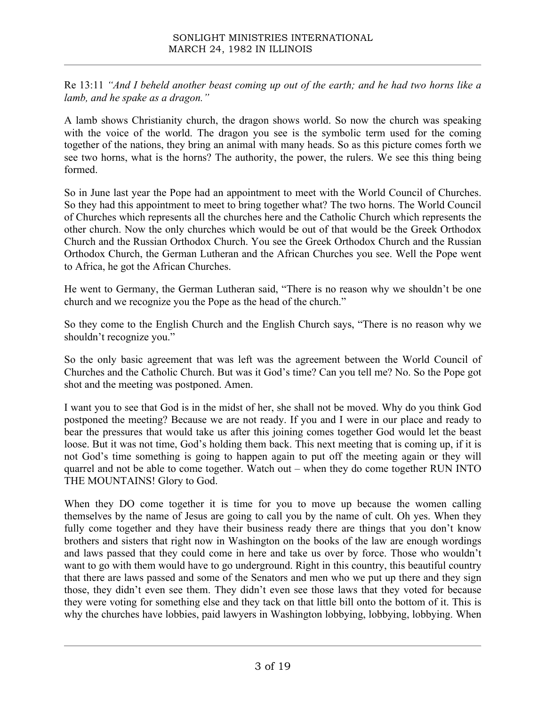Re 13:11 *"And I beheld another beast coming up out of the earth; and he had two horns like a lamb, and he spake as a dragon."*

A lamb shows Christianity church, the dragon shows world. So now the church was speaking with the voice of the world. The dragon you see is the symbolic term used for the coming together of the nations, they bring an animal with many heads. So as this picture comes forth we see two horns, what is the horns? The authority, the power, the rulers. We see this thing being formed.

So in June last year the Pope had an appointment to meet with the World Council of Churches. So they had this appointment to meet to bring together what? The two horns. The World Council of Churches which represents all the churches here and the Catholic Church which represents the other church. Now the only churches which would be out of that would be the Greek Orthodox Church and the Russian Orthodox Church. You see the Greek Orthodox Church and the Russian Orthodox Church, the German Lutheran and the African Churches you see. Well the Pope went to Africa, he got the African Churches.

He went to Germany, the German Lutheran said, "There is no reason why we shouldn't be one church and we recognize you the Pope as the head of the church."

So they come to the English Church and the English Church says, "There is no reason why we shouldn't recognize you."

So the only basic agreement that was left was the agreement between the World Council of Churches and the Catholic Church. But was it God's time? Can you tell me? No. So the Pope got shot and the meeting was postponed. Amen.

I want you to see that God is in the midst of her, she shall not be moved. Why do you think God postponed the meeting? Because we are not ready. If you and I were in our place and ready to bear the pressures that would take us after this joining comes together God would let the beast loose. But it was not time, God's holding them back. This next meeting that is coming up, if it is not God's time something is going to happen again to put off the meeting again or they will quarrel and not be able to come together. Watch out – when they do come together RUN INTO THE MOUNTAINS! Glory to God.

When they DO come together it is time for you to move up because the women calling themselves by the name of Jesus are going to call you by the name of cult. Oh yes. When they fully come together and they have their business ready there are things that you don't know brothers and sisters that right now in Washington on the books of the law are enough wordings and laws passed that they could come in here and take us over by force. Those who wouldn't want to go with them would have to go underground. Right in this country, this beautiful country that there are laws passed and some of the Senators and men who we put up there and they sign those, they didn't even see them. They didn't even see those laws that they voted for because they were voting for something else and they tack on that little bill onto the bottom of it. This is why the churches have lobbies, paid lawyers in Washington lobbying, lobbying, lobbying. When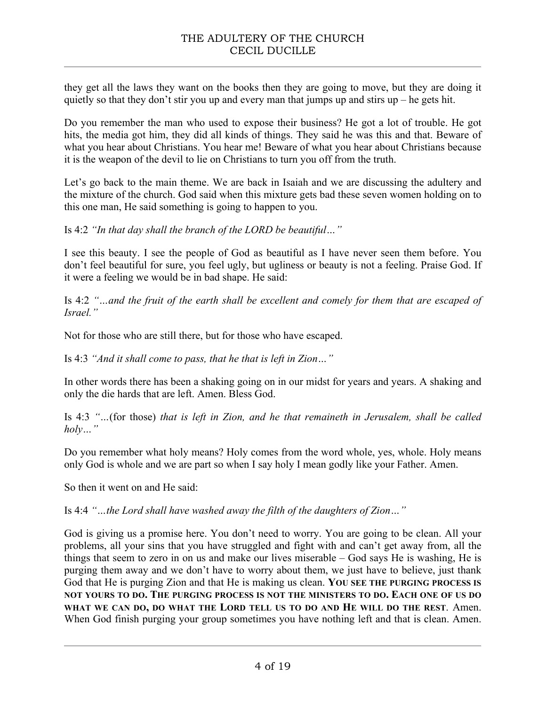they get all the laws they want on the books then they are going to move, but they are doing it quietly so that they don't stir you up and every man that jumps up and stirs up – he gets hit.

Do you remember the man who used to expose their business? He got a lot of trouble. He got hits, the media got him, they did all kinds of things. They said he was this and that. Beware of what you hear about Christians. You hear me! Beware of what you hear about Christians because it is the weapon of the devil to lie on Christians to turn you off from the truth.

Let's go back to the main theme. We are back in Isaiah and we are discussing the adultery and the mixture of the church. God said when this mixture gets bad these seven women holding on to this one man, He said something is going to happen to you.

Is 4:2 *"In that day shall the branch of the LORD be beautiful…"* 

I see this beauty. I see the people of God as beautiful as I have never seen them before. You don't feel beautiful for sure, you feel ugly, but ugliness or beauty is not a feeling. Praise God. If it were a feeling we would be in bad shape. He said:

Is 4:2 *"…and the fruit of the earth shall be excellent and comely for them that are escaped of Israel."*

Not for those who are still there, but for those who have escaped.

Is 4:3 *"And it shall come to pass, that he that is left in Zion…"*

In other words there has been a shaking going on in our midst for years and years. A shaking and only the die hards that are left. Amen. Bless God.

Is 4:3 *"…*(for those) *that is left in Zion, and he that remaineth in Jerusalem, shall be called holy…"*

Do you remember what holy means? Holy comes from the word whole, yes, whole. Holy means only God is whole and we are part so when I say holy I mean godly like your Father. Amen.

So then it went on and He said:

Is 4:4 *"…the Lord shall have washed away the filth of the daughters of Zion…"*

God is giving us a promise here. You don't need to worry. You are going to be clean. All your problems, all your sins that you have struggled and fight with and can't get away from, all the things that seem to zero in on us and make our lives miserable – God says He is washing, He is purging them away and we don't have to worry about them, we just have to believe, just thank God that He is purging Zion and that He is making us clean. **YOU SEE THE PURGING PROCESS IS NOT YOURS TO DO. THE PURGING PROCESS IS NOT THE MINISTERS TO DO. EACH ONE OF US DO WHAT WE CAN DO, DO WHAT THE LORD TELL US TO DO AND HE WILL DO THE REST**. Amen. When God finish purging your group sometimes you have nothing left and that is clean. Amen.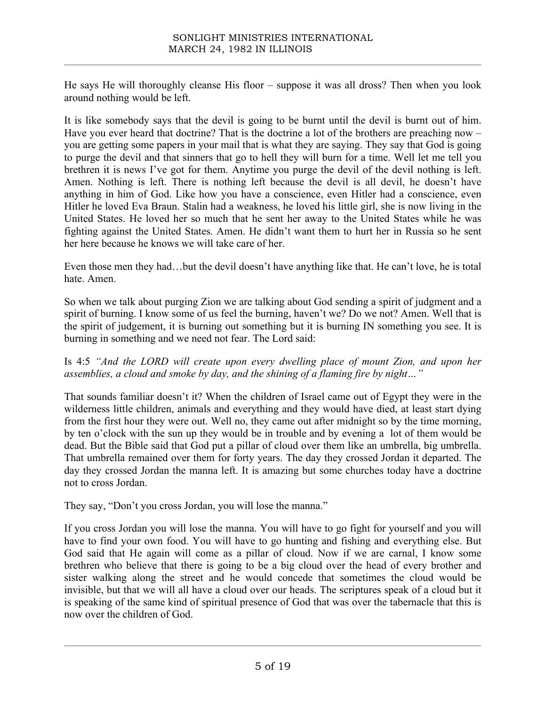He says He will thoroughly cleanse His floor – suppose it was all dross? Then when you look around nothing would be left.

It is like somebody says that the devil is going to be burnt until the devil is burnt out of him. Have you ever heard that doctrine? That is the doctrine a lot of the brothers are preaching now – you are getting some papers in your mail that is what they are saying. They say that God is going to purge the devil and that sinners that go to hell they will burn for a time. Well let me tell you brethren it is news I've got for them. Anytime you purge the devil of the devil nothing is left. Amen. Nothing is left. There is nothing left because the devil is all devil, he doesn't have anything in him of God. Like how you have a conscience, even Hitler had a conscience, even Hitler he loved Eva Braun. Stalin had a weakness, he loved his little girl, she is now living in the United States. He loved her so much that he sent her away to the United States while he was fighting against the United States. Amen. He didn't want them to hurt her in Russia so he sent her here because he knows we will take care of her.

Even those men they had…but the devil doesn't have anything like that. He can't love, he is total hate. Amen.

So when we talk about purging Zion we are talking about God sending a spirit of judgment and a spirit of burning. I know some of us feel the burning, haven't we? Do we not? Amen. Well that is the spirit of judgement, it is burning out something but it is burning IN something you see. It is burning in something and we need not fear. The Lord said:

Is 4:5 *"And the LORD will create upon every dwelling place of mount Zion, and upon her assemblies, a cloud and smoke by day, and the shining of a flaming fire by night…"*

That sounds familiar doesn't it? When the children of Israel came out of Egypt they were in the wilderness little children, animals and everything and they would have died, at least start dying from the first hour they were out. Well no, they came out after midnight so by the time morning, by ten o'clock with the sun up they would be in trouble and by evening a lot of them would be dead. But the Bible said that God put a pillar of cloud over them like an umbrella, big umbrella. That umbrella remained over them for forty years. The day they crossed Jordan it departed. The day they crossed Jordan the manna left. It is amazing but some churches today have a doctrine not to cross Jordan.

They say, "Don't you cross Jordan, you will lose the manna."

If you cross Jordan you will lose the manna. You will have to go fight for yourself and you will have to find your own food. You will have to go hunting and fishing and everything else. But God said that He again will come as a pillar of cloud. Now if we are carnal, I know some brethren who believe that there is going to be a big cloud over the head of every brother and sister walking along the street and he would concede that sometimes the cloud would be invisible, but that we will all have a cloud over our heads. The scriptures speak of a cloud but it is speaking of the same kind of spiritual presence of God that was over the tabernacle that this is now over the children of God.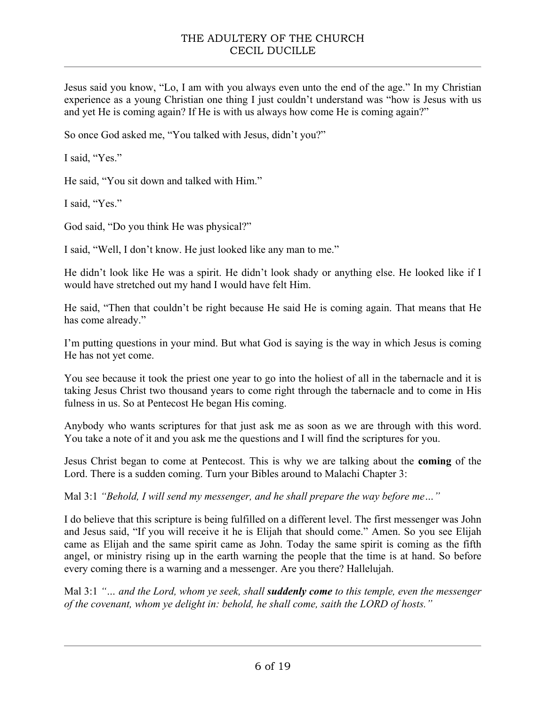Jesus said you know, "Lo, I am with you always even unto the end of the age." In my Christian experience as a young Christian one thing I just couldn't understand was "how is Jesus with us and yet He is coming again? If He is with us always how come He is coming again?"

So once God asked me, "You talked with Jesus, didn't you?"

I said, "Yes."

He said, "You sit down and talked with Him."

I said, "Yes."

God said, "Do you think He was physical?"

I said, "Well, I don't know. He just looked like any man to me."

He didn't look like He was a spirit. He didn't look shady or anything else. He looked like if I would have stretched out my hand I would have felt Him.

He said, "Then that couldn't be right because He said He is coming again. That means that He has come already."

I'm putting questions in your mind. But what God is saying is the way in which Jesus is coming He has not yet come.

You see because it took the priest one year to go into the holiest of all in the tabernacle and it is taking Jesus Christ two thousand years to come right through the tabernacle and to come in His fulness in us. So at Pentecost He began His coming.

Anybody who wants scriptures for that just ask me as soon as we are through with this word. You take a note of it and you ask me the questions and I will find the scriptures for you.

Jesus Christ began to come at Pentecost. This is why we are talking about the **coming** of the Lord. There is a sudden coming. Turn your Bibles around to Malachi Chapter 3:

Mal 3:1 *"Behold, I will send my messenger, and he shall prepare the way before me…"*

I do believe that this scripture is being fulfilled on a different level. The first messenger was John and Jesus said, "If you will receive it he is Elijah that should come." Amen. So you see Elijah came as Elijah and the same spirit came as John. Today the same spirit is coming as the fifth angel, or ministry rising up in the earth warning the people that the time is at hand. So before every coming there is a warning and a messenger. Are you there? Hallelujah.

Mal 3:1 *"… and the Lord, whom ye seek, shall suddenly come to this temple, even the messenger of the covenant, whom ye delight in: behold, he shall come, saith the LORD of hosts."*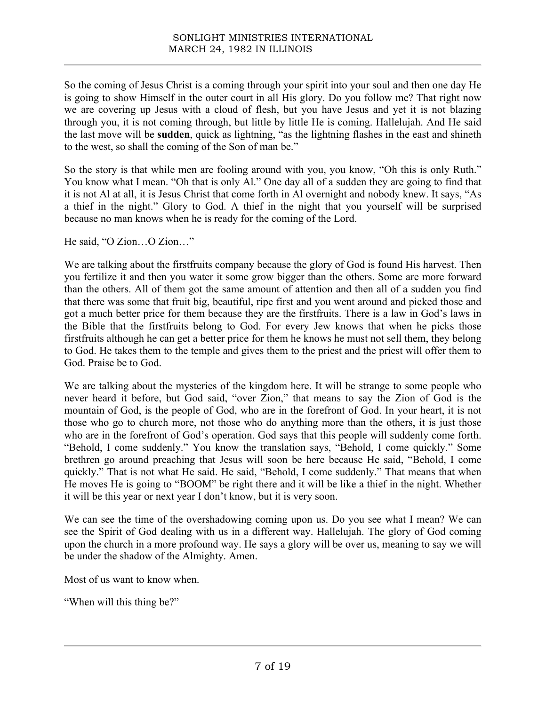So the coming of Jesus Christ is a coming through your spirit into your soul and then one day He is going to show Himself in the outer court in all His glory. Do you follow me? That right now we are covering up Jesus with a cloud of flesh, but you have Jesus and yet it is not blazing through you, it is not coming through, but little by little He is coming. Hallelujah. And He said the last move will be **sudden**, quick as lightning, "as the lightning flashes in the east and shineth to the west, so shall the coming of the Son of man be."

So the story is that while men are fooling around with you, you know, "Oh this is only Ruth." You know what I mean. "Oh that is only Al." One day all of a sudden they are going to find that it is not Al at all, it is Jesus Christ that come forth in Al overnight and nobody knew. It says, "As a thief in the night." Glory to God. A thief in the night that you yourself will be surprised because no man knows when he is ready for the coming of the Lord.

He said, "O Zion…O Zion…"

We are talking about the firstfruits company because the glory of God is found His harvest. Then you fertilize it and then you water it some grow bigger than the others. Some are more forward than the others. All of them got the same amount of attention and then all of a sudden you find that there was some that fruit big, beautiful, ripe first and you went around and picked those and got a much better price for them because they are the firstfruits. There is a law in God's laws in the Bible that the firstfruits belong to God. For every Jew knows that when he picks those firstfruits although he can get a better price for them he knows he must not sell them, they belong to God. He takes them to the temple and gives them to the priest and the priest will offer them to God. Praise be to God.

We are talking about the mysteries of the kingdom here. It will be strange to some people who never heard it before, but God said, "over Zion," that means to say the Zion of God is the mountain of God, is the people of God, who are in the forefront of God. In your heart, it is not those who go to church more, not those who do anything more than the others, it is just those who are in the forefront of God's operation. God says that this people will suddenly come forth. "Behold, I come suddenly." You know the translation says, "Behold, I come quickly." Some brethren go around preaching that Jesus will soon be here because He said, "Behold, I come quickly." That is not what He said. He said, "Behold, I come suddenly." That means that when He moves He is going to "BOOM" be right there and it will be like a thief in the night. Whether it will be this year or next year I don't know, but it is very soon.

We can see the time of the overshadowing coming upon us. Do you see what I mean? We can see the Spirit of God dealing with us in a different way. Hallelujah. The glory of God coming upon the church in a more profound way. He says a glory will be over us, meaning to say we will be under the shadow of the Almighty. Amen.

Most of us want to know when.

"When will this thing be?"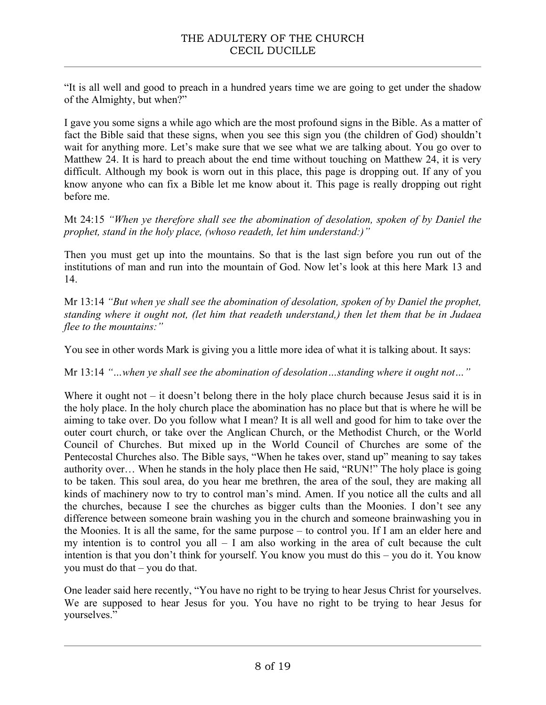"It is all well and good to preach in a hundred years time we are going to get under the shadow of the Almighty, but when?"

I gave you some signs a while ago which are the most profound signs in the Bible. As a matter of fact the Bible said that these signs, when you see this sign you (the children of God) shouldn't wait for anything more. Let's make sure that we see what we are talking about. You go over to Matthew 24. It is hard to preach about the end time without touching on Matthew 24, it is very difficult. Although my book is worn out in this place, this page is dropping out. If any of you know anyone who can fix a Bible let me know about it. This page is really dropping out right before me.

Mt 24:15 *"When ye therefore shall see the abomination of desolation, spoken of by Daniel the prophet, stand in the holy place, (whoso readeth, let him understand:)"*

Then you must get up into the mountains. So that is the last sign before you run out of the institutions of man and run into the mountain of God. Now let's look at this here Mark 13 and 14.

Mr 13:14 *"But when ye shall see the abomination of desolation, spoken of by Daniel the prophet, standing where it ought not, (let him that readeth understand,) then let them that be in Judaea flee to the mountains:"*

You see in other words Mark is giving you a little more idea of what it is talking about. It says:

Mr 13:14 *"…when ye shall see the abomination of desolation…standing where it ought not…"*

Where it ought not  $-$  it doesn't belong there in the holy place church because Jesus said it is in the holy place. In the holy church place the abomination has no place but that is where he will be aiming to take over. Do you follow what I mean? It is all well and good for him to take over the outer court church, or take over the Anglican Church, or the Methodist Church, or the World Council of Churches. But mixed up in the World Council of Churches are some of the Pentecostal Churches also. The Bible says, "When he takes over, stand up" meaning to say takes authority over… When he stands in the holy place then He said, "RUN!" The holy place is going to be taken. This soul area, do you hear me brethren, the area of the soul, they are making all kinds of machinery now to try to control man's mind. Amen. If you notice all the cults and all the churches, because I see the churches as bigger cults than the Moonies. I don't see any difference between someone brain washing you in the church and someone brainwashing you in the Moonies. It is all the same, for the same purpose – to control you. If I am an elder here and my intention is to control you all  $- I$  am also working in the area of cult because the cult intention is that you don't think for yourself. You know you must do this – you do it. You know you must do that – you do that.

One leader said here recently, "You have no right to be trying to hear Jesus Christ for yourselves. We are supposed to hear Jesus for you. You have no right to be trying to hear Jesus for yourselves."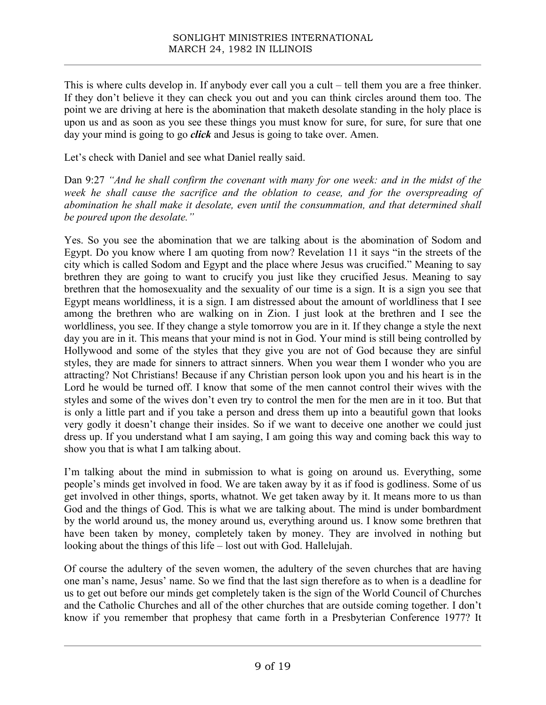This is where cults develop in. If anybody ever call you a cult – tell them you are a free thinker. If they don't believe it they can check you out and you can think circles around them too. The point we are driving at here is the abomination that maketh desolate standing in the holy place is upon us and as soon as you see these things you must know for sure, for sure, for sure that one day your mind is going to go *click* and Jesus is going to take over. Amen.

Let's check with Daniel and see what Daniel really said.

Dan 9:27 *"And he shall confirm the covenant with many for one week: and in the midst of the week he shall cause the sacrifice and the oblation to cease, and for the overspreading of abomination he shall make it desolate, even until the consummation, and that determined shall be poured upon the desolate."*

Yes. So you see the abomination that we are talking about is the abomination of Sodom and Egypt. Do you know where I am quoting from now? Revelation 11 it says "in the streets of the city which is called Sodom and Egypt and the place where Jesus was crucified." Meaning to say brethren they are going to want to crucify you just like they crucified Jesus. Meaning to say brethren that the homosexuality and the sexuality of our time is a sign. It is a sign you see that Egypt means worldliness, it is a sign. I am distressed about the amount of worldliness that I see among the brethren who are walking on in Zion. I just look at the brethren and I see the worldliness, you see. If they change a style tomorrow you are in it. If they change a style the next day you are in it. This means that your mind is not in God. Your mind is still being controlled by Hollywood and some of the styles that they give you are not of God because they are sinful styles, they are made for sinners to attract sinners. When you wear them I wonder who you are attracting? Not Christians! Because if any Christian person look upon you and his heart is in the Lord he would be turned off. I know that some of the men cannot control their wives with the styles and some of the wives don't even try to control the men for the men are in it too. But that is only a little part and if you take a person and dress them up into a beautiful gown that looks very godly it doesn't change their insides. So if we want to deceive one another we could just dress up. If you understand what I am saying, I am going this way and coming back this way to show you that is what I am talking about.

I'm talking about the mind in submission to what is going on around us. Everything, some people's minds get involved in food. We are taken away by it as if food is godliness. Some of us get involved in other things, sports, whatnot. We get taken away by it. It means more to us than God and the things of God. This is what we are talking about. The mind is under bombardment by the world around us, the money around us, everything around us. I know some brethren that have been taken by money, completely taken by money. They are involved in nothing but looking about the things of this life – lost out with God. Hallelujah.

Of course the adultery of the seven women, the adultery of the seven churches that are having one man's name, Jesus' name. So we find that the last sign therefore as to when is a deadline for us to get out before our minds get completely taken is the sign of the World Council of Churches and the Catholic Churches and all of the other churches that are outside coming together. I don't know if you remember that prophesy that came forth in a Presbyterian Conference 1977? It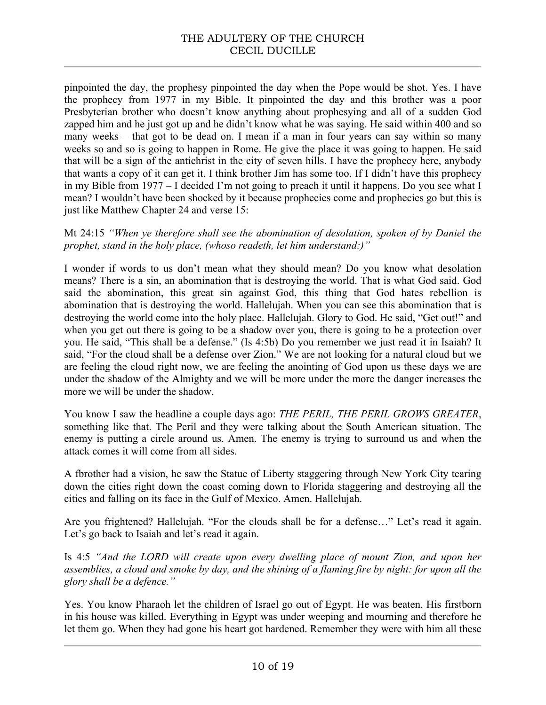## THE ADULTERY OF THE CHURCH CECIL DUCILLE

pinpointed the day, the prophesy pinpointed the day when the Pope would be shot. Yes. I have the prophecy from 1977 in my Bible. It pinpointed the day and this brother was a poor Presbyterian brother who doesn't know anything about prophesying and all of a sudden God zapped him and he just got up and he didn't know what he was saying. He said within 400 and so many weeks – that got to be dead on. I mean if a man in four years can say within so many weeks so and so is going to happen in Rome. He give the place it was going to happen. He said that will be a sign of the antichrist in the city of seven hills. I have the prophecy here, anybody that wants a copy of it can get it. I think brother Jim has some too. If I didn't have this prophecy in my Bible from 1977 – I decided I'm not going to preach it until it happens. Do you see what I mean? I wouldn't have been shocked by it because prophecies come and prophecies go but this is just like Matthew Chapter 24 and verse 15:

Mt 24:15 *"When ye therefore shall see the abomination of desolation, spoken of by Daniel the prophet, stand in the holy place, (whoso readeth, let him understand:)"*

I wonder if words to us don't mean what they should mean? Do you know what desolation means? There is a sin, an abomination that is destroying the world. That is what God said. God said the abomination, this great sin against God, this thing that God hates rebellion is abomination that is destroying the world. Hallelujah. When you can see this abomination that is destroying the world come into the holy place. Hallelujah. Glory to God. He said, "Get out!" and when you get out there is going to be a shadow over you, there is going to be a protection over you. He said, "This shall be a defense." (Is 4:5b) Do you remember we just read it in Isaiah? It said, "For the cloud shall be a defense over Zion." We are not looking for a natural cloud but we are feeling the cloud right now, we are feeling the anointing of God upon us these days we are under the shadow of the Almighty and we will be more under the more the danger increases the more we will be under the shadow.

You know I saw the headline a couple days ago: *THE PERIL, THE PERIL GROWS GREATER*, something like that. The Peril and they were talking about the South American situation. The enemy is putting a circle around us. Amen. The enemy is trying to surround us and when the attack comes it will come from all sides.

A fbrother had a vision, he saw the Statue of Liberty staggering through New York City tearing down the cities right down the coast coming down to Florida staggering and destroying all the cities and falling on its face in the Gulf of Mexico. Amen. Hallelujah.

Are you frightened? Hallelujah. "For the clouds shall be for a defense…" Let's read it again. Let's go back to Isaiah and let's read it again.

Is 4:5 *"And the LORD will create upon every dwelling place of mount Zion, and upon her assemblies, a cloud and smoke by day, and the shining of a flaming fire by night: for upon all the glory shall be a defence."*

Yes. You know Pharaoh let the children of Israel go out of Egypt. He was beaten. His firstborn in his house was killed. Everything in Egypt was under weeping and mourning and therefore he let them go. When they had gone his heart got hardened. Remember they were with him all these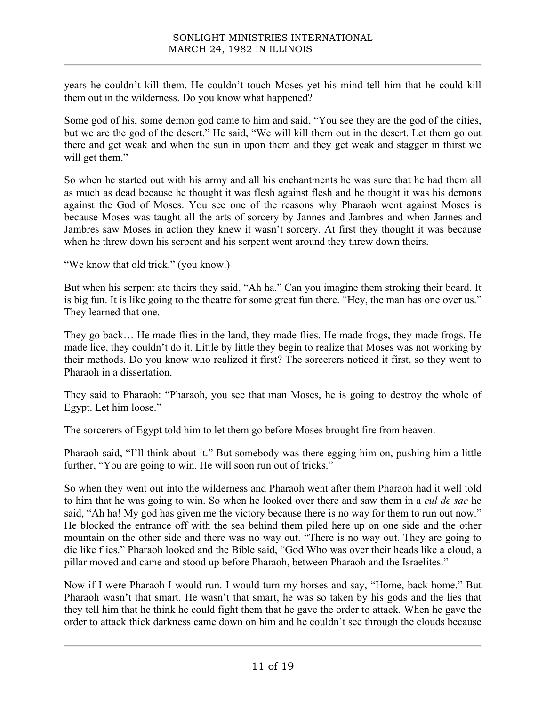years he couldn't kill them. He couldn't touch Moses yet his mind tell him that he could kill them out in the wilderness. Do you know what happened?

Some god of his, some demon god came to him and said, "You see they are the god of the cities, but we are the god of the desert." He said, "We will kill them out in the desert. Let them go out there and get weak and when the sun in upon them and they get weak and stagger in thirst we will get them."

So when he started out with his army and all his enchantments he was sure that he had them all as much as dead because he thought it was flesh against flesh and he thought it was his demons against the God of Moses. You see one of the reasons why Pharaoh went against Moses is because Moses was taught all the arts of sorcery by Jannes and Jambres and when Jannes and Jambres saw Moses in action they knew it wasn't sorcery. At first they thought it was because when he threw down his serpent and his serpent went around they threw down theirs.

"We know that old trick." (you know.)

But when his serpent ate theirs they said, "Ah ha." Can you imagine them stroking their beard. It is big fun. It is like going to the theatre for some great fun there. "Hey, the man has one over us." They learned that one.

They go back… He made flies in the land, they made flies. He made frogs, they made frogs. He made lice, they couldn't do it. Little by little they begin to realize that Moses was not working by their methods. Do you know who realized it first? The sorcerers noticed it first, so they went to Pharaoh in a dissertation.

They said to Pharaoh: "Pharaoh, you see that man Moses, he is going to destroy the whole of Egypt. Let him loose."

The sorcerers of Egypt told him to let them go before Moses brought fire from heaven.

Pharaoh said, "I'll think about it." But somebody was there egging him on, pushing him a little further, "You are going to win. He will soon run out of tricks."

So when they went out into the wilderness and Pharaoh went after them Pharaoh had it well told to him that he was going to win. So when he looked over there and saw them in a *cul de sac* he said, "Ah ha! My god has given me the victory because there is no way for them to run out now." He blocked the entrance off with the sea behind them piled here up on one side and the other mountain on the other side and there was no way out. "There is no way out. They are going to die like flies." Pharaoh looked and the Bible said, "God Who was over their heads like a cloud, a pillar moved and came and stood up before Pharaoh, between Pharaoh and the Israelites."

Now if I were Pharaoh I would run. I would turn my horses and say, "Home, back home." But Pharaoh wasn't that smart. He wasn't that smart, he was so taken by his gods and the lies that they tell him that he think he could fight them that he gave the order to attack. When he gave the order to attack thick darkness came down on him and he couldn't see through the clouds because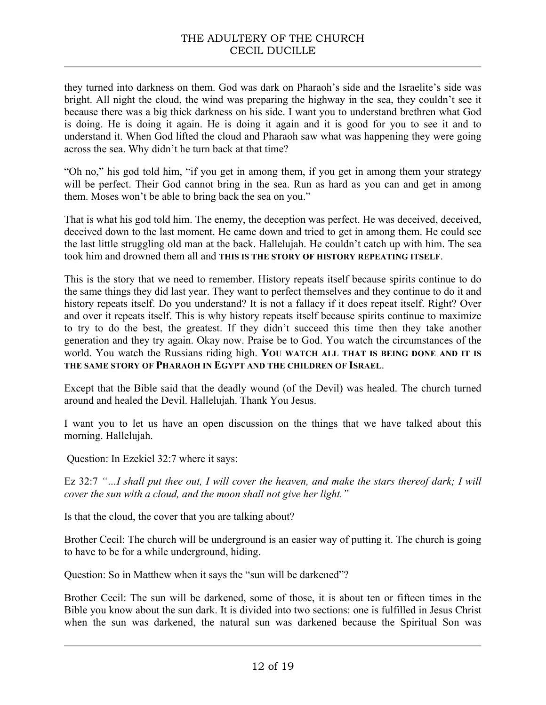they turned into darkness on them. God was dark on Pharaoh's side and the Israelite's side was bright. All night the cloud, the wind was preparing the highway in the sea, they couldn't see it because there was a big thick darkness on his side. I want you to understand brethren what God is doing. He is doing it again. He is doing it again and it is good for you to see it and to understand it. When God lifted the cloud and Pharaoh saw what was happening they were going across the sea. Why didn't he turn back at that time?

"Oh no," his god told him, "if you get in among them, if you get in among them your strategy will be perfect. Their God cannot bring in the sea. Run as hard as you can and get in among them. Moses won't be able to bring back the sea on you."

That is what his god told him. The enemy, the deception was perfect. He was deceived, deceived, deceived down to the last moment. He came down and tried to get in among them. He could see the last little struggling old man at the back. Hallelujah. He couldn't catch up with him. The sea took him and drowned them all and **THIS IS THE STORY OF HISTORY REPEATING ITSELF**.

This is the story that we need to remember. History repeats itself because spirits continue to do the same things they did last year. They want to perfect themselves and they continue to do it and history repeats itself. Do you understand? It is not a fallacy if it does repeat itself. Right? Over and over it repeats itself. This is why history repeats itself because spirits continue to maximize to try to do the best, the greatest. If they didn't succeed this time then they take another generation and they try again. Okay now. Praise be to God. You watch the circumstances of the world. You watch the Russians riding high. **YOU WATCH ALL THAT IS BEING DONE AND IT IS THE SAME STORY OF PHARAOH IN EGYPT AND THE CHILDREN OF ISRAEL**.

Except that the Bible said that the deadly wound (of the Devil) was healed. The church turned around and healed the Devil. Hallelujah. Thank You Jesus.

I want you to let us have an open discussion on the things that we have talked about this morning. Hallelujah.

Question: In Ezekiel 32:7 where it says:

Ez 32:7 *"…I shall put thee out, I will cover the heaven, and make the stars thereof dark; I will cover the sun with a cloud, and the moon shall not give her light."*

Is that the cloud, the cover that you are talking about?

Brother Cecil: The church will be underground is an easier way of putting it. The church is going to have to be for a while underground, hiding.

Question: So in Matthew when it says the "sun will be darkened"?

Brother Cecil: The sun will be darkened, some of those, it is about ten or fifteen times in the Bible you know about the sun dark. It is divided into two sections: one is fulfilled in Jesus Christ when the sun was darkened, the natural sun was darkened because the Spiritual Son was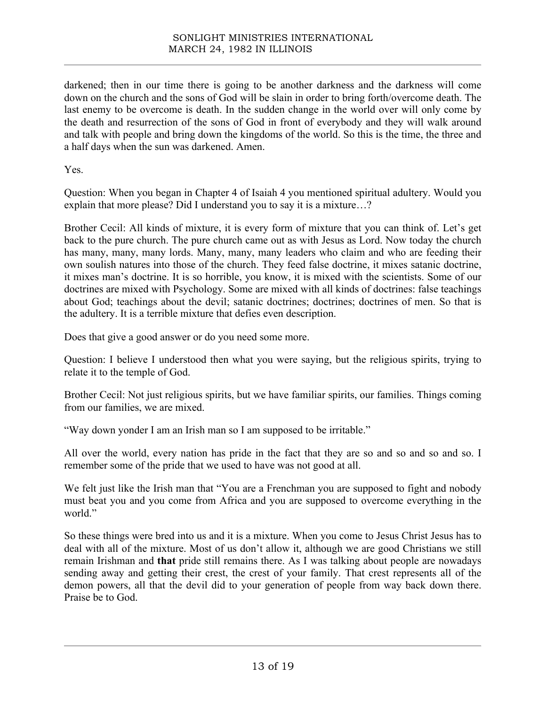darkened; then in our time there is going to be another darkness and the darkness will come down on the church and the sons of God will be slain in order to bring forth/overcome death. The last enemy to be overcome is death. In the sudden change in the world over will only come by the death and resurrection of the sons of God in front of everybody and they will walk around and talk with people and bring down the kingdoms of the world. So this is the time, the three and a half days when the sun was darkened. Amen.

Yes.

Question: When you began in Chapter 4 of Isaiah 4 you mentioned spiritual adultery. Would you explain that more please? Did I understand you to say it is a mixture…?

Brother Cecil: All kinds of mixture, it is every form of mixture that you can think of. Let's get back to the pure church. The pure church came out as with Jesus as Lord. Now today the church has many, many, many lords. Many, many, many leaders who claim and who are feeding their own soulish natures into those of the church. They feed false doctrine, it mixes satanic doctrine, it mixes man's doctrine. It is so horrible, you know, it is mixed with the scientists. Some of our doctrines are mixed with Psychology. Some are mixed with all kinds of doctrines: false teachings about God; teachings about the devil; satanic doctrines; doctrines; doctrines of men. So that is the adultery. It is a terrible mixture that defies even description.

Does that give a good answer or do you need some more.

Question: I believe I understood then what you were saying, but the religious spirits, trying to relate it to the temple of God.

Brother Cecil: Not just religious spirits, but we have familiar spirits, our families. Things coming from our families, we are mixed.

"Way down yonder I am an Irish man so I am supposed to be irritable."

All over the world, every nation has pride in the fact that they are so and so and so and so. I remember some of the pride that we used to have was not good at all.

We felt just like the Irish man that "You are a Frenchman you are supposed to fight and nobody must beat you and you come from Africa and you are supposed to overcome everything in the world."

So these things were bred into us and it is a mixture. When you come to Jesus Christ Jesus has to deal with all of the mixture. Most of us don't allow it, although we are good Christians we still remain Irishman and **that** pride still remains there. As I was talking about people are nowadays sending away and getting their crest, the crest of your family. That crest represents all of the demon powers, all that the devil did to your generation of people from way back down there. Praise be to God.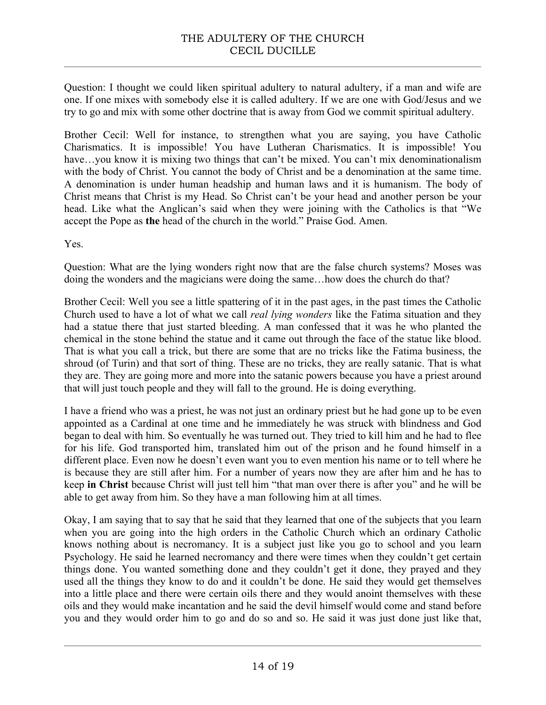Question: I thought we could liken spiritual adultery to natural adultery, if a man and wife are one. If one mixes with somebody else it is called adultery. If we are one with God/Jesus and we try to go and mix with some other doctrine that is away from God we commit spiritual adultery.

Brother Cecil: Well for instance, to strengthen what you are saying, you have Catholic Charismatics. It is impossible! You have Lutheran Charismatics. It is impossible! You have...you know it is mixing two things that can't be mixed. You can't mix denominationalism with the body of Christ. You cannot the body of Christ and be a denomination at the same time. A denomination is under human headship and human laws and it is humanism. The body of Christ means that Christ is my Head. So Christ can't be your head and another person be your head. Like what the Anglican's said when they were joining with the Catholics is that "We accept the Pope as **the** head of the church in the world." Praise God. Amen.

Yes.

Question: What are the lying wonders right now that are the false church systems? Moses was doing the wonders and the magicians were doing the same…how does the church do that?

Brother Cecil: Well you see a little spattering of it in the past ages, in the past times the Catholic Church used to have a lot of what we call *real lying wonders* like the Fatima situation and they had a statue there that just started bleeding. A man confessed that it was he who planted the chemical in the stone behind the statue and it came out through the face of the statue like blood. That is what you call a trick, but there are some that are no tricks like the Fatima business, the shroud (of Turin) and that sort of thing. These are no tricks, they are really satanic. That is what they are. They are going more and more into the satanic powers because you have a priest around that will just touch people and they will fall to the ground. He is doing everything.

I have a friend who was a priest, he was not just an ordinary priest but he had gone up to be even appointed as a Cardinal at one time and he immediately he was struck with blindness and God began to deal with him. So eventually he was turned out. They tried to kill him and he had to flee for his life. God transported him, translated him out of the prison and he found himself in a different place. Even now he doesn't even want you to even mention his name or to tell where he is because they are still after him. For a number of years now they are after him and he has to keep **in Christ** because Christ will just tell him "that man over there is after you" and he will be able to get away from him. So they have a man following him at all times.

Okay, I am saying that to say that he said that they learned that one of the subjects that you learn when you are going into the high orders in the Catholic Church which an ordinary Catholic knows nothing about is necromancy. It is a subject just like you go to school and you learn Psychology. He said he learned necromancy and there were times when they couldn't get certain things done. You wanted something done and they couldn't get it done, they prayed and they used all the things they know to do and it couldn't be done. He said they would get themselves into a little place and there were certain oils there and they would anoint themselves with these oils and they would make incantation and he said the devil himself would come and stand before you and they would order him to go and do so and so. He said it was just done just like that,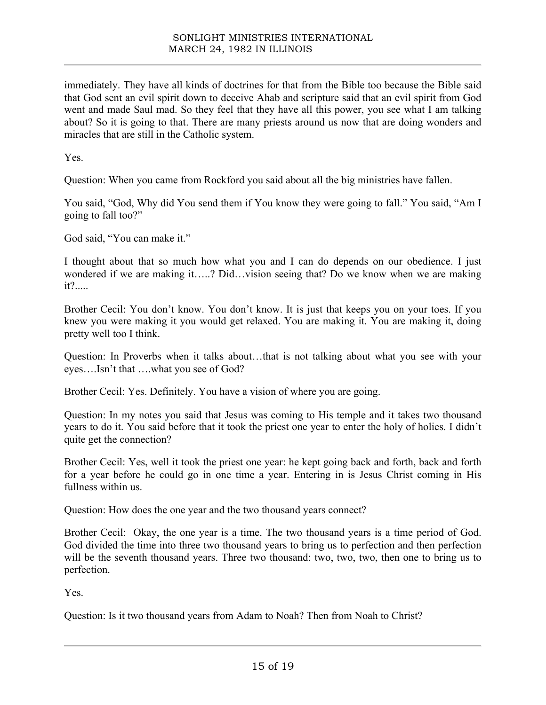immediately. They have all kinds of doctrines for that from the Bible too because the Bible said that God sent an evil spirit down to deceive Ahab and scripture said that an evil spirit from God went and made Saul mad. So they feel that they have all this power, you see what I am talking about? So it is going to that. There are many priests around us now that are doing wonders and miracles that are still in the Catholic system.

Yes.

Question: When you came from Rockford you said about all the big ministries have fallen.

You said, "God, Why did You send them if You know they were going to fall." You said, "Am I going to fall too?"

God said, "You can make it."

I thought about that so much how what you and I can do depends on our obedience. I just wondered if we are making it…..? Did…vision seeing that? Do we know when we are making it?.....

Brother Cecil: You don't know. You don't know. It is just that keeps you on your toes. If you knew you were making it you would get relaxed. You are making it. You are making it, doing pretty well too I think.

Question: In Proverbs when it talks about…that is not talking about what you see with your eyes….Isn't that ….what you see of God?

Brother Cecil: Yes. Definitely. You have a vision of where you are going.

Question: In my notes you said that Jesus was coming to His temple and it takes two thousand years to do it. You said before that it took the priest one year to enter the holy of holies. I didn't quite get the connection?

Brother Cecil: Yes, well it took the priest one year: he kept going back and forth, back and forth for a year before he could go in one time a year. Entering in is Jesus Christ coming in His fullness within us.

Question: How does the one year and the two thousand years connect?

Brother Cecil: Okay, the one year is a time. The two thousand years is a time period of God. God divided the time into three two thousand years to bring us to perfection and then perfection will be the seventh thousand years. Three two thousand: two, two, two, then one to bring us to perfection.

Yes.

Question: Is it two thousand years from Adam to Noah? Then from Noah to Christ?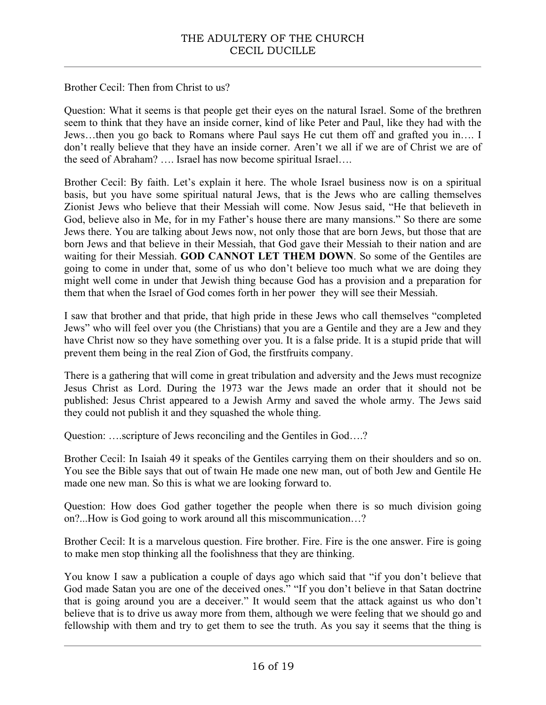Brother Cecil: Then from Christ to us?

Question: What it seems is that people get their eyes on the natural Israel. Some of the brethren seem to think that they have an inside corner, kind of like Peter and Paul, like they had with the Jews…then you go back to Romans where Paul says He cut them off and grafted you in…. I don't really believe that they have an inside corner. Aren't we all if we are of Christ we are of the seed of Abraham? …. Israel has now become spiritual Israel….

Brother Cecil: By faith. Let's explain it here. The whole Israel business now is on a spiritual basis, but you have some spiritual natural Jews, that is the Jews who are calling themselves Zionist Jews who believe that their Messiah will come. Now Jesus said, "He that believeth in God, believe also in Me, for in my Father's house there are many mansions." So there are some Jews there. You are talking about Jews now, not only those that are born Jews, but those that are born Jews and that believe in their Messiah, that God gave their Messiah to their nation and are waiting for their Messiah. **GOD CANNOT LET THEM DOWN**. So some of the Gentiles are going to come in under that, some of us who don't believe too much what we are doing they might well come in under that Jewish thing because God has a provision and a preparation for them that when the Israel of God comes forth in her power they will see their Messiah.

I saw that brother and that pride, that high pride in these Jews who call themselves "completed Jews" who will feel over you (the Christians) that you are a Gentile and they are a Jew and they have Christ now so they have something over you. It is a false pride. It is a stupid pride that will prevent them being in the real Zion of God, the firstfruits company.

There is a gathering that will come in great tribulation and adversity and the Jews must recognize Jesus Christ as Lord. During the 1973 war the Jews made an order that it should not be published: Jesus Christ appeared to a Jewish Army and saved the whole army. The Jews said they could not publish it and they squashed the whole thing.

Question: ….scripture of Jews reconciling and the Gentiles in God….?

Brother Cecil: In Isaiah 49 it speaks of the Gentiles carrying them on their shoulders and so on. You see the Bible says that out of twain He made one new man, out of both Jew and Gentile He made one new man. So this is what we are looking forward to.

Question: How does God gather together the people when there is so much division going on?...How is God going to work around all this miscommunication…?

Brother Cecil: It is a marvelous question. Fire brother. Fire. Fire is the one answer. Fire is going to make men stop thinking all the foolishness that they are thinking.

You know I saw a publication a couple of days ago which said that "if you don't believe that God made Satan you are one of the deceived ones." "If you don't believe in that Satan doctrine that is going around you are a deceiver." It would seem that the attack against us who don't believe that is to drive us away more from them, although we were feeling that we should go and fellowship with them and try to get them to see the truth. As you say it seems that the thing is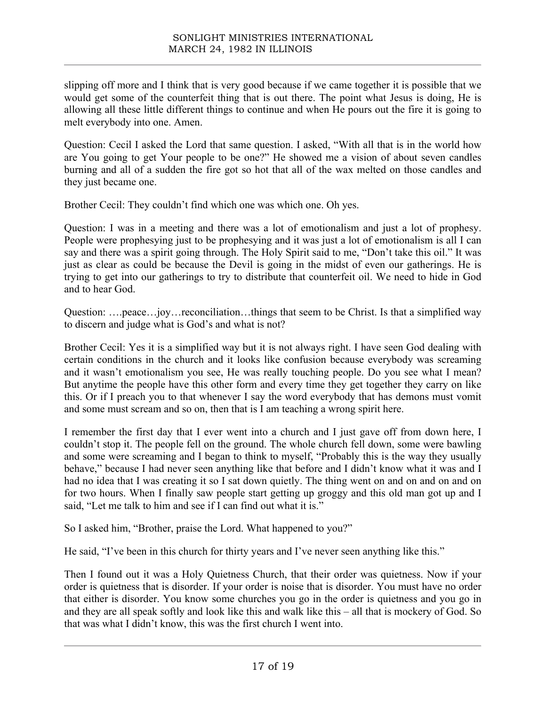slipping off more and I think that is very good because if we came together it is possible that we would get some of the counterfeit thing that is out there. The point what Jesus is doing, He is allowing all these little different things to continue and when He pours out the fire it is going to melt everybody into one. Amen.

Question: Cecil I asked the Lord that same question. I asked, "With all that is in the world how are You going to get Your people to be one?" He showed me a vision of about seven candles burning and all of a sudden the fire got so hot that all of the wax melted on those candles and they just became one.

Brother Cecil: They couldn't find which one was which one. Oh yes.

Question: I was in a meeting and there was a lot of emotionalism and just a lot of prophesy. People were prophesying just to be prophesying and it was just a lot of emotionalism is all I can say and there was a spirit going through. The Holy Spirit said to me, "Don't take this oil." It was just as clear as could be because the Devil is going in the midst of even our gatherings. He is trying to get into our gatherings to try to distribute that counterfeit oil. We need to hide in God and to hear God.

Question: ….peace…joy…reconciliation…things that seem to be Christ. Is that a simplified way to discern and judge what is God's and what is not?

Brother Cecil: Yes it is a simplified way but it is not always right. I have seen God dealing with certain conditions in the church and it looks like confusion because everybody was screaming and it wasn't emotionalism you see, He was really touching people. Do you see what I mean? But anytime the people have this other form and every time they get together they carry on like this. Or if I preach you to that whenever I say the word everybody that has demons must vomit and some must scream and so on, then that is I am teaching a wrong spirit here.

I remember the first day that I ever went into a church and I just gave off from down here, I couldn't stop it. The people fell on the ground. The whole church fell down, some were bawling and some were screaming and I began to think to myself, "Probably this is the way they usually behave," because I had never seen anything like that before and I didn't know what it was and I had no idea that I was creating it so I sat down quietly. The thing went on and on and on and on for two hours. When I finally saw people start getting up groggy and this old man got up and I said, "Let me talk to him and see if I can find out what it is."

So I asked him, "Brother, praise the Lord. What happened to you?"

He said, "I've been in this church for thirty years and I've never seen anything like this."

Then I found out it was a Holy Quietness Church, that their order was quietness. Now if your order is quietness that is disorder. If your order is noise that is disorder. You must have no order that either is disorder. You know some churches you go in the order is quietness and you go in and they are all speak softly and look like this and walk like this – all that is mockery of God. So that was what I didn't know, this was the first church I went into.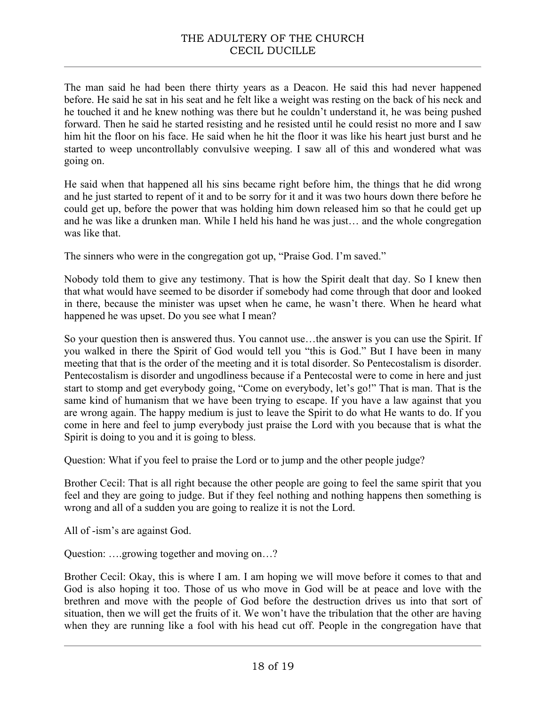## THE ADULTERY OF THE CHURCH CECIL DUCILLE

The man said he had been there thirty years as a Deacon. He said this had never happened before. He said he sat in his seat and he felt like a weight was resting on the back of his neck and he touched it and he knew nothing was there but he couldn't understand it, he was being pushed forward. Then he said he started resisting and he resisted until he could resist no more and I saw him hit the floor on his face. He said when he hit the floor it was like his heart just burst and he started to weep uncontrollably convulsive weeping. I saw all of this and wondered what was going on.

He said when that happened all his sins became right before him, the things that he did wrong and he just started to repent of it and to be sorry for it and it was two hours down there before he could get up, before the power that was holding him down released him so that he could get up and he was like a drunken man. While I held his hand he was just… and the whole congregation was like that.

The sinners who were in the congregation got up, "Praise God. I'm saved."

Nobody told them to give any testimony. That is how the Spirit dealt that day. So I knew then that what would have seemed to be disorder if somebody had come through that door and looked in there, because the minister was upset when he came, he wasn't there. When he heard what happened he was upset. Do you see what I mean?

So your question then is answered thus. You cannot use…the answer is you can use the Spirit. If you walked in there the Spirit of God would tell you "this is God." But I have been in many meeting that that is the order of the meeting and it is total disorder. So Pentecostalism is disorder. Pentecostalism is disorder and ungodliness because if a Pentecostal were to come in here and just start to stomp and get everybody going, "Come on everybody, let's go!" That is man. That is the same kind of humanism that we have been trying to escape. If you have a law against that you are wrong again. The happy medium is just to leave the Spirit to do what He wants to do. If you come in here and feel to jump everybody just praise the Lord with you because that is what the Spirit is doing to you and it is going to bless.

Question: What if you feel to praise the Lord or to jump and the other people judge?

Brother Cecil: That is all right because the other people are going to feel the same spirit that you feel and they are going to judge. But if they feel nothing and nothing happens then something is wrong and all of a sudden you are going to realize it is not the Lord.

All of -ism's are against God.

Question: ….growing together and moving on…?

Brother Cecil: Okay, this is where I am. I am hoping we will move before it comes to that and God is also hoping it too. Those of us who move in God will be at peace and love with the brethren and move with the people of God before the destruction drives us into that sort of situation, then we will get the fruits of it. We won't have the tribulation that the other are having when they are running like a fool with his head cut off. People in the congregation have that